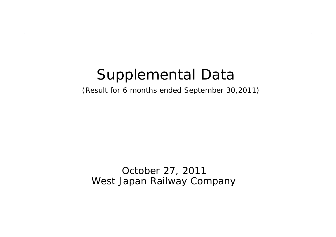# Supplemental Data

(Result for 6 months ended September 30,2011)

October 27, 2011 West Japan Railway Company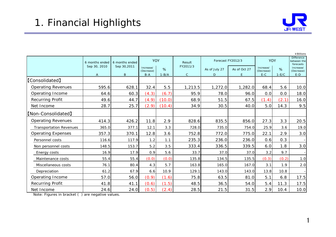

|                                |                |                |                         |         |              |                   |              |                         |         | ¥ Billions                                    |
|--------------------------------|----------------|----------------|-------------------------|---------|--------------|-------------------|--------------|-------------------------|---------|-----------------------------------------------|
|                                | 6 months ended | 6 months ended | <b>YOY</b>              |         | Result       | Forecast FY2012/3 |              | <b>YOY</b>              |         | <b>Difference</b><br>between the<br>forecasts |
|                                | Sep 30, 2010   | Sep 30,2011    | Increase/<br>(Decrease) | %       | FY2011/3     | As of July 27     | As of Oct 27 | Increase/<br>(Decrease) | %       | Increase/<br>(Decrease)                       |
|                                | $\mathsf{A}$   | B              | $B - A$                 | $1-B/A$ | $\mathsf{C}$ | D                 | F            | $E-C$                   | $1-E/C$ | $E-D$                                         |
| <b>[Consolidated]</b>          |                |                |                         |         |              |                   |              |                         |         |                                               |
| <b>Operating Revenues</b>      | 595.6          | 628.1          | 32.4                    | 5.5     | 1,213.5      | 1,272.0           | 1,282.0      | 68.4                    | 5.6     | 10.0                                          |
| Operating Income               | 64.6           | 60.3           | (4.3)                   | (6.7)   | 95.9         | 78.0              | 96.0         | 0.0                     | 0.0     | 18.0                                          |
| Recurring Profit               | 49.6           | 44.7           | (4.9)                   | (10.0)  | 68.9         | 51.5              | 67.5         | (1.4)                   | (2.1)   | 16.0                                          |
| Net Income                     | 28.7           | 25.7           | (2.9)                   | (10.4)  | 34.9         | 30.5              | 40.0         | 5.0                     | 14.3    | 9.5                                           |
| [Non-Consolidated]             |                |                |                         |         |              |                   |              |                         |         |                                               |
| <b>Operating Revenues</b>      | 414.3          | 426.2          | 11.8                    | 2.9     | 828.6        | 835.5             | 856.0        | 27.3                    | 3.3     | 20.5                                          |
| <b>Transportation Revenues</b> | 365.0          | 377.1          | 12.1                    | 3.3     | 728.0        | 735.0             | 754.0        | 25.9                    | 3.6     | 19.0                                          |
| <b>Operating Expenses</b>      | 357.3          | 370.1          | 12.8                    | 3.6     | 752.8        | 772.0             | 775.0        | 22.1                    | 2.9     | 3.0                                           |
| Personnel costs                | 116.6          | 117.9          | 1.2                     | 1.1     | 235.3        | 236.0             | 236.0        | 0.6                     | 0.3     |                                               |
| Non personnel costs            | 148.5          | 153.7          | 5.2                     | 3.5     | 333.4        | 336.5             | 339.5        | 6.0                     | 1.8     | 3.0                                           |
| Energy costs                   | 16.9           | 17.9           | 0.9                     | 5.6     | 33.7         | 37.0              | 37.0         | 3.2                     | 9.7     |                                               |
| Maintenance costs              | 55.4           | 55.4           | (0.0)                   | (0.0)   | 135.8        | 134.5             | 135.5        | (0.3)                   | (0.2)   | $1.0$                                         |
| Miscellaneous costs            | 76.1           | 80.4           | 4.3                     | 5.7     | 163.8        | 165.0             | 167.0        | 3.1                     | 1.9     | 2.0                                           |
| Depreciation                   | 61.2           | 67.9           | 6.6                     | 10.9    | 129.1        | 143.0             | 143.0        | 13.8                    | 10.8    |                                               |
| Operating Income               | 57.0           | 56.0           | (0.9)                   | (1.6)   | 75.8         | 63.5              | 81.0         | 5.1                     | 6.8     | 17.5                                          |
| Recurring Profit               | 41.8           | 41.1           | (0.6)                   | (1.5)   | 48.5         | 36.5              | 54.0         | 5.4                     | 11.3    | 17.5                                          |
| Net Income                     | 24.6           | 24.0           | (0.5)                   | (2.4)   | 28.5         | 21.5              | 31.5         | 2.9                     | 10.4    | 10.0                                          |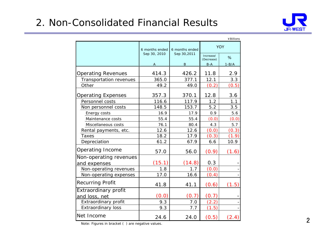# 2. Non-Consolidated Financial Results



¥BillionsIncrease/(Decrease) %A **B** B-A 1-B/A Operating Revenues | 414.3 | 426.2 | 11.8 | 2.9 Transportation revenues |  $365.0$  |  $377.1$  | 12.1 | 3.3 Other 49.2 49.0  $(0.2)$   $(0.5)$ Operating Expenses | 357.3 | 370.1 | 12.8 | 3.6 Personnel costs 116.6 117.9 1.2 1.1 Non personnel costs | 148.5 | 153.7 | 5.2 | 3.5 Energy costs 16.9 16.9 17.9 0.9 5.6 Maintenance costs  $\begin{array}{ccc} \hline \text{M} & \text{S5.4} \\ \hline \end{array}$  55.4  $(0.0)$   $(0.0)$ Miscellaneous costs 100.4 3.76.1 80.4 4.3  $5.7$ Rental payments, etc. | 12.6 | 12.6 (0.0) (0.3) Taxes 18.2 17.9  $(0.3)$   $(1.9)$ Depreciation | 61.2 67.9 6.6 10.9 Operating Income | 57.0 56.0  $(0.9)$   $(1.6)$  $(15.1)$   $(14.8)$  0.3 Non-operating revenues  $\begin{vmatrix} 1.8 & 1.7 & 0.0 \end{vmatrix}$ Non-operating expenses  $\begin{vmatrix} 1 & 17.0 & 16.6 & 0.4 \end{vmatrix}$ Recurring Profit  $41.8$  41.8 41.1  $(0.6)$   $(1.5)$  $(0.0)$   $(0.7)$   $(0.7)$ Extraordinary profit  $\begin{array}{|c|c|c|c|c|c|c|c|} \hline \text{Extraordinary profit} & \text{9.3} & \text{7.0} & \text{(2.2)} \\\hline \end{array}$ Extraordinary loss  $\begin{array}{|c|c|c|c|c|c|c|c|} \hline \text{Extraordinary loss} & \text{9.3} & \text{7.7} & \text{(1.5)} \ \hline \end{array}$ Net Income 24.6 24.0 $(0.5)$   $(2.4)$ YOYExtraordinary profit and loss, net Non-operating revenues and ex penses 6 months endedSep 30, 2010 6 months endedSep 30,2011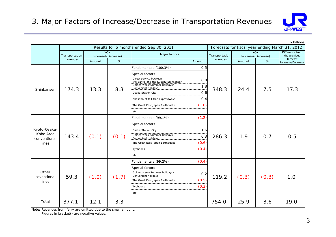

¥Billions

|                           |                |        |                                   | Results for 6 months ended Sep 30, 2011                                                                         |        |                |                            |                                 | Forecasts for fiscal year ending March 31, 2012 |  |
|---------------------------|----------------|--------|-----------------------------------|-----------------------------------------------------------------------------------------------------------------|--------|----------------|----------------------------|---------------------------------|-------------------------------------------------|--|
|                           | Transportation |        | <b>YOY</b><br>Increase/(Decrease) | Major factors                                                                                                   |        | Transportation | YOY<br>Increase/(Decrease) | Difference from<br>the previous |                                                 |  |
|                           | revenues       | Amount | %                                 |                                                                                                                 | Amount | revenues       | Amount                     | %                               | forecast<br>Increase/Decrease                   |  |
|                           |                |        |                                   | Fundamentals (100.3%)                                                                                           | 0.5    |                |                            |                                 |                                                 |  |
|                           |                |        |                                   | Special factors<br>Direct service bewteen<br>the Sanyo and the Kyushu Shinkansen<br>Golden week Summer holidays | 8.8    |                |                            | 7.5                             | 17.3                                            |  |
| Shinkansen                | 174.3          | 13.3   | 8.3                               | Convenient holidays                                                                                             | 1.8    | 348.3          | 24.4                       |                                 |                                                 |  |
|                           |                |        |                                   | Osaka Station City                                                                                              | 0.6    |                |                            |                                 |                                                 |  |
|                           |                |        |                                   | Abolition of toll-free expressways                                                                              | 0.4    |                |                            |                                 |                                                 |  |
|                           |                |        |                                   | The Great East Japan Earthquake                                                                                 | (1.0)  |                |                            |                                 |                                                 |  |
|                           |                |        |                                   | etc.                                                                                                            |        |                |                            |                                 |                                                 |  |
|                           |                |        |                                   | Fundamentals (99.1%)                                                                                            | (1.2)  |                |                            |                                 |                                                 |  |
|                           |                |        |                                   | Special factors                                                                                                 |        |                |                            |                                 |                                                 |  |
| Kyoto-Osaka-              | 143.4          | (0.1)  | (0.1)                             | Osaka Station City                                                                                              | 1.6    |                |                            |                                 | 0.5                                             |  |
| Kobe Area<br>conventional |                |        |                                   | Golden week Summer holidays<br>Convenient holidays                                                              | 0.3    | 286.3          | 1.9                        | 0.7                             |                                                 |  |
| lines                     |                |        |                                   | The Great East Japan Earthquake                                                                                 | (0.6)  |                |                            |                                 |                                                 |  |
|                           |                |        |                                   | Typhoons                                                                                                        | (0.4)  |                |                            |                                 |                                                 |  |
|                           |                |        |                                   | etc.                                                                                                            |        |                |                            |                                 |                                                 |  |
|                           |                |        |                                   | Fundamentals (99.2%)                                                                                            | (0.4)  |                |                            |                                 |                                                 |  |
|                           |                |        |                                   | Special factors                                                                                                 |        |                |                            |                                 |                                                 |  |
| Other                     |                |        |                                   | Golden week Summer holidays<br>Convenient holidays                                                              | 0.2    |                |                            |                                 |                                                 |  |
| coventional<br>lines      | 59.3           | (1.0)  | (1.7)                             | The Great East Japan Earthquake                                                                                 | (0.5)  | 119.2          | (0.3)                      | (0.3)                           | 1.0                                             |  |
|                           |                |        |                                   | Typhoons                                                                                                        | (0.3)  |                |                            |                                 |                                                 |  |
|                           |                |        |                                   | etc.                                                                                                            |        |                |                            |                                 |                                                 |  |
| Total                     | 377.1          | 12.1   | 3.3                               |                                                                                                                 |        | 754.0          | 25.9                       | 3.6                             | 19.0                                            |  |

Note: Revenues from ferry are omitted due to the small amount.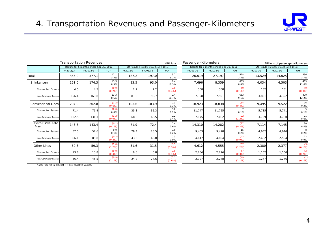

|                           | Transportation Revenues<br>¥ Billions |                                         |                 |          | Passenger-Kilometers                    |                    |                                         | Millions of passenger-kilometers |                   |            |                                         |                  |
|---------------------------|---------------------------------------|-----------------------------------------|-----------------|----------|-----------------------------------------|--------------------|-----------------------------------------|----------------------------------|-------------------|------------|-----------------------------------------|------------------|
|                           |                                       | Results for 6 months ended Sep 30, 2011 |                 |          | 2Q Result (3 months ended Sep 30, 2011) |                    | Results for 6 months ended Sep 30, 2011 |                                  |                   |            | 2Q Result (3 months ended Sep 30, 2011) |                  |
|                           | FY2011/3                              | FY2012/3                                | YOY             | FY2011/3 | FY2012/3                                | <b>YOY</b>         | FY2011/3                                | FY2012/3                         | <b>YOY</b>        | FY2011/3   | FY2012/3                                | YOY              |
| Total                     | 365.0                                 | 377.1                                   | 12.1<br>3.3%    | 187.2    | 197.0                                   | 9.7<br>5.2%        | 26,619                                  | 27,197                           | 578<br>2.2%       | 13,529     | 14,025                                  | 496<br>3.7%      |
| Shinkansen                | 161.0                                 | 174.3                                   | 13.3<br>8.3%    | 83.5     | 93.0                                    | 9.4<br>11.3%       | 7,696                                   | 8,359                            | 663<br>8.6%       | 4,034      | 4,503                                   | 469<br>11.6%     |
| <b>Commuter Passes</b>    | 4.5                                   | 4.5                                     | (0.0)<br>(0.2%) | 2.2      | 2.2                                     | (0.0)<br>$(0.4\%)$ | 368                                     | 368                              | (0)<br>$(0.1\%)$  | <b>182</b> | 181                                     | (0)<br>(0.3%)    |
| Non-Commuter Passes       | 156.4                                 | 169.8                                   | 13.3<br>8.5%    | 81.3     | 90.7                                    | 9.4<br>11.7%       | 7,328                                   | 7,991                            | 663<br>9.1%       | 3,851      | 4,322                                   | 470<br>12.2%     |
| <b>Conventional Lines</b> | 204.0                                 | 202.8                                   | (1.2)<br>(0.6%  | 103.6    | 103.9                                   | 0.3<br>0.3%        | 18,923                                  | 18,838                           | (84)<br>(0.4%)    | 9,495      | 9,522                                   | 26<br>0.3%       |
| <b>Commuter Passes</b>    | 71.4                                  | 71.4                                    | (0.0)<br>0.0%   | 35.3     | 35.3                                    | 0.0<br>0.2%        | 11,747                                  | 11,755                           | 0.1%              | 5,735      | 5,741                                   | 5<br>0.1%        |
| Non-Commuter Passes       | 132.5                                 | 131.3                                   | (1.2)<br>(0.9%  | 68.3     | 68.5                                    | 0.2<br>0.4%        | 7,175                                   | 7,082                            | (92)<br>(1.3%)    | 3,759      | 3,780                                   | 21<br>0.6%       |
| Kyoto-Osaka-Kobe<br>Area  | 143.6                                 | 143.4                                   | (0.1)<br>(0.1%  | 71.9     | 72.4                                    | 0.4<br>0.6%        | 14,310                                  | 14,282                           | (27)<br>(0.2%)    | 7,114      | 7,145                                   | 30<br>0.4%       |
| <b>Commuter Passes</b>    | 57.5                                  | 57.6                                    | 0.0<br>0.1%     | 28.4     | 28.5                                    | 0.0<br>0.2%        | 9,463                                   | 9,478                            | 15<br>0.2%        | 4,632      | 4,640                                   | 8<br>0.2%        |
| Non-Commuter Passes       | 86.1                                  | 85.8                                    | (0.2)<br>(0.3%  | 43.5     | 43.8                                    | 0.3<br>0.9%        | 4,847                                   | 4,804                            | (43)<br>(0.9%     | 2,482      | 2,504                                   | 22<br>0.9%       |
| Other Lines               | 60.3                                  | 59.3                                    | (1.0)<br>(1.7%) | 31.6     | 31.5                                    | (0.1)<br>(0.5%)    | 4,612                                   | 4,555                            | (57)<br>$(1.2\%)$ | 2,380      | 2,377                                   | (3)<br>$(0.1\%)$ |
| <b>Commuter Passes</b>    | 13.8                                  | 13.8                                    | (0.0)<br>(0.4%  | 6.8      | 6.8                                     | (0.0)<br>$(0.1\%)$ | 2,284                                   | 2,276                            | (7)<br>(0.3%)     | 1,102      | 1,100                                   | (2)<br>(0.2%)    |
| Non-Commuter Passes       | 46.4                                  | 45.5                                    | (0.9)<br>(2.1%) | 24.8     | 24.6                                    | (0.1)<br>$(0.6\%)$ | 2,327                                   | 2,278                            | (49)<br>$(2.1\%)$ | 1,277      | 1,276                                   | (1)<br>$(0.1\%)$ |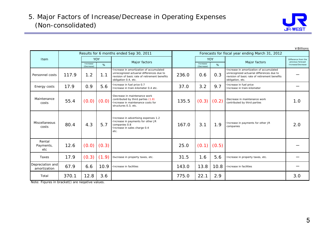

Increase/ (Decrease) %**Increase/** (Decrease) %RentalPayments, etc12.6 $(0.0) (0.3)$   $(0.3)$ -Taxes 17.9 $(0.3)$   $(1.9)$   $\cdot$  Decrease in property taxes, etc.  $\parallel$  31.5 1.6 5.6  $\cdot$  Increase in property taxes, etc. -Depreciation and amortization 67.9 6.6 10.9 ・Increase in facilities 143.0 13.8 10.8 ・Increase in facilities -Total 370.1 12.8 3.6 775.0 22.1 2.9 3.0 $3.0$ Difference from the previous forecast Increase/Decrease Forecasts for fiscal year ending March 31, 2012 2.01.0--・Increase in amortization of accumulated unrecognized actuarial differences due to revision of basic rate of retirement benefits obligation, etc. ・Increase in payments for other JR companies YOYMajor factors 167.0135.537.0236.0ItemPersonnel costs・Increase in amortization of accumulated unrecognized actuarial differences due to revision of basic rate of retirement benefits obligation 0.4, etc. Major factors YOY $1.2$  1.1 Results for 6 months ended Sep 30, 2011 117.9Maintenancecosts・Decrease in maintenance work $(0.0)$   $(0.0)$  Contributed by third parties (1.8)<br> $(0.3)$   $(0.2)$   $\begin{bmatrix}$  contributed by third parties costs for  $\end{bmatrix}$  135.5  $(0.3)$   $(0.2)$   $\begin{bmatrix}$  contributed by third parties 4.3(0.3) 3.1・Decrease in maintenance work contributed by third parties (1.8) structures 0.3, etc. (0.2) 80.44 | 4.3 | 5.7 Companies 0.8 | 167.0 | 3.1 | 1.9 Energy costs Miscellaneouscosts0.9 5.6 ・Increase in advertising expenses 1.2 ・Increase in payments for other JR ・Increase in sales charge 0.4 etc. ・Increase in fuel price 0.7 ・Increase in train-kilometer 0.4 etc. (0.0) 5.717.955.4・Increase in fuel price ・Increase in train-kilometer0.33.2 9.7 0.6

Note: Figures in bracket() are negative values.

¥Billions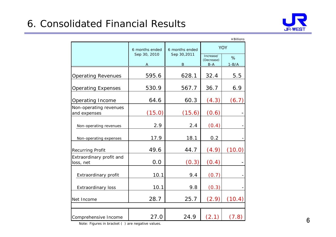

|                                        |                |                  |                                  | ¥ Billions   |
|----------------------------------------|----------------|------------------|----------------------------------|--------------|
|                                        | 6 months ended | 6 months ended   |                                  | <b>YOY</b>   |
|                                        | Sep 30, 2010   | Sep 30,2011<br>B | Increase/<br>(Decrease)<br>$B-A$ | %<br>$1-B/A$ |
| <b>Operating Revenues</b>              | 595.6          | 628.1            | 32.4                             | 5.5          |
| <b>Operating Expenses</b>              | 530.9          | 567.7            | 36.7                             | 6.9          |
| <b>Operating Income</b>                | 64.6           | 60.3             | (4.3)                            | (6.7)        |
| Non-operating revenues<br>and expenses | (15.0)         | (15.6)           | (0.6)                            |              |
| Non-operating revenues                 | 2.9            | 2.4              | (0.4)                            |              |
| Non-operating expenses                 | 17.9           | 18.1             | 0.2                              |              |
| Recurring Profit                       | 49.6           | 44.7             | (4.9)                            | (10.0)       |
| Extraordinary profit and<br>loss, net  | 0.0            | (0.3)            | (0.4)                            |              |
| Extraordinary profit                   | 10.1           | 9.4              | (0.7)                            |              |
| <b>Extraordinary loss</b>              | 10.1           | 9.8              | (0.3)                            |              |
| Net Income                             | 28.7           | 25.7             | (2.9)                            | (10.4)       |
|                                        |                |                  |                                  |              |
| Comprehensive Income                   | 27.0           | 24.9             | (2.1)                            | (7.8)        |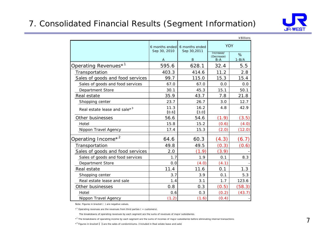### 7. Consolidated Financial Results (Segment Information)



|                                          |                                |                               |                         | ¥ Billions |
|------------------------------------------|--------------------------------|-------------------------------|-------------------------|------------|
|                                          | 6 months ended<br>Sep 30, 2010 | 6 months ended<br>Sep 30,2011 | <b>YOY</b>              |            |
|                                          |                                |                               | Increase/<br>(Decrease) | %          |
|                                          | Α                              | B                             | $B-A$                   | $1-B/A$    |
| Operating Revenues <sup>*1</sup>         | 595.6                          | 628.1                         | 32.4                    | 5.5        |
| Transportation                           | 403.3                          | 414.6                         | 11.2                    | 2.8        |
| Sales of goods and food services         | 99.7                           | 115.0                         | 15.3                    | 15.4       |
| Sales of goods and food services         | 67.0                           | 67.0                          | 0.0                     | 0.0        |
| Department Store                         | 30.1                           | 45.3                          | 15.1                    | 50.1       |
| Real estate                              | 35.9                           | 43.7                          | 7.8                     | 21.8       |
| Shopping center                          | 23.7                           | 26.7                          | 3.0                     | 12.7       |
| Real estate lease and sale* <sup>3</sup> | 11.3<br>[0.6]                  | 16.2<br>[3.0]                 | 4.8                     | 42.9       |
| Other businesses                         | 56.6                           | 54.6                          | (1.9)                   | (3.5)      |
| Hotel                                    | 15.8                           | 15.2                          | (0.6)                   | (4.0)      |
| Nippon Travel Agency                     | 17.4                           | 15.3                          | (2.0)                   | (12.0)     |
| Operating Income <sup>*2</sup>           | 64.6                           | 60.3                          | (4.3)                   | (6.7)      |
| Transportation                           | 49.8                           | 49.5                          | (0.3)                   | (0.6)      |
| Sales of goods and food services         | 2.0                            | (1.9)                         | (3.9)                   |            |
| Sales of goods and food services         | 1.7                            | 1.9                           | 0.1                     | 8.3        |
| <b>Department Store</b>                  | 0.0                            | (4.0)                         | (4.1)                   |            |
| Real estate                              | 11.4                           | 11.6                          | 0.1                     | 1.3        |
| Shopping center                          | 3.7                            | 3.9                           | 0.1                     | 5.3        |
| Real estate lease and sale               | 1.4                            | 3.1                           | 1.7                     | 123.6      |
| Other businesses                         | 0.8                            | 0.3                           | (0.5)                   | (58.3)     |
| Hotel                                    | 0.6                            | 0.3                           | (0.2)                   | (43.7)     |
| Nippon Travel Agency                     | (1.2)                          | (1.6)                         | (0.4)                   |            |

Note: Figures in bracket ( ) are negative values.

 $*$ <sup>1</sup> Operating revenues are the revenues from third parties ( = customers).

The breakdowns of operating revenues by each segment are the sums of revenues of major subsidiaries.

\*<sup>2</sup> The breakdowns of operating income by each segment are the sums of incomes of major subsidiaries before eliminating internal transactions.

 $*^3$  Figures in bracket  $[$   $]$  are the sales of condominiums. (Included in Real estate lease and sale)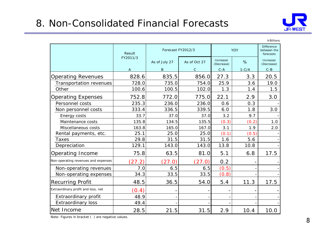# 8. Non-Consolidated Financial Forecasts



#### YOYDifferencebetween theforecastsAs of July 27 As of Oct 27 Increase/ % Increase/ (Decrease) A B C C-A 1-C/A C-BOperating Revenues | 828.6 835.5 856.0 27.3 3.3 20.5 Transportation revenues | 728.0 735.0 754.0 25.9 3.6 19.0 Other 100.6 100.5 102.0 1.3 1.4 1.5Operating Expenses 1 752.8 772.0 775.0 22.1 2.9 3.0 Personnel costs  $\begin{array}{ccc} | & 235.3 & 236.0 & 236.0 & 0.6 \end{array}$  0.3 Non personnel costs 333.4 336.5 339.5 6.0 1.8 3.0 Energy costs 33.7 37.0 37.0 3.2 9.7 - Maintenance costs  $\begin{vmatrix} 1 & 35.8 & 134.5 \end{vmatrix}$  135.5  $(0.3)$   $(0.2)$  1.0 Miscellaneous costs  $\begin{array}{ccc} | & 163.8 & 165.0 & 167.0 & 3.1 & 1.9 \end{array}$  2.0 Rental payments, etc.  $\begin{vmatrix} 25.1 & 25.0 & 25.0 & 0.1 \end{vmatrix}$  (0.1) (0.5) Taxes 29.8 31.5 31.5 1.6 5.6 -Depreciation 129.1 143.0 143.0 13.8 10.8 Operating Income 75.8 63.5 81.0 5.1 6.8 17.5  $(27.2)$   $(27.0)$   $(27.0)$  0.2 Non-operating revenues  $\begin{vmatrix} 7.0 & 6.5 & 6.5 \end{vmatrix}$   $\qquad$  6.5 (0.5) Non-operating expenses  $\begin{array}{ccc} 34.3 & 33.5 & 33.5 \end{array}$   $\begin{array}{ccc} 33.5 & 33.5 & 33.5 \end{array}$ Recurring Profit 1. 18.5 48.5 36.5 54.0 5.4 11.3 17.5  $(0.4)$  - - - - - - -Extraordinary profit  $\vert$  48.9  $Extraordinary loss$   $49.4$ Net Income 28.5 21.5 31.5 2.9 10.4 10.0 $10.0$ Non-operating revenues and expenses Extraordinary profit and loss, net ResultFY2011/3Forecast FY2012/3

¥Billions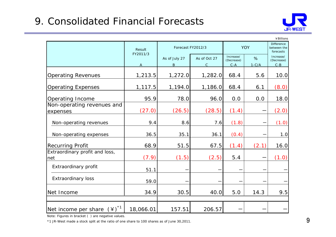## 9. Consolidated Financial Forecasts



|                                           |                    |                          |                              |                                    |              | ¥ Billions                                    |
|-------------------------------------------|--------------------|--------------------------|------------------------------|------------------------------------|--------------|-----------------------------------------------|
|                                           | Result<br>FY2011/3 | Forecast FY2012/3        |                              |                                    | <b>YOY</b>   | <b>Difference</b><br>between the<br>forecasts |
|                                           | A                  | As of July 27<br>$\sf B$ | As of Oct 27<br>$\mathsf{C}$ | Increase/<br>(Decrease)<br>$C - A$ | %<br>$1-C/A$ | Increase/<br>(Decrease)<br>$C - B$            |
| <b>Operating Revenues</b>                 | 1,213.5            | 1,272.0                  | 1,282.0                      | 68.4                               | 5.6          | 10.0                                          |
| <b>Operating Expenses</b>                 | 1,117.5            | 1,194.0                  | 1,186.0                      | 68.4                               | 6.1          | (8.0)                                         |
| Operating Income                          | 95.9               | 78.0                     | 96.0                         | 0.0                                | 0.0          | 18.0                                          |
| Non-operating revenues and<br>expenses    | (27.0)             | (26.5)                   | (28.5)                       | (1.4)                              |              | (2.0)                                         |
| Non-operating revenues                    | 9.4                | 8.6                      | 7.6                          | (1.8)                              |              | (1.0)                                         |
| Non-operating expenses                    | 36.5               | 35.1                     | 36.1                         | (0.4)                              |              | 1.0                                           |
| <b>Recurring Profit</b>                   | 68.9               | 51.5                     | 67.5                         | (1.4)                              | (2.1)        | 16.0                                          |
| Extraordinary profit and loss,<br>net     | (7.9)              | (1.5)                    | (2.5)                        | 5.4                                |              | (1.0)                                         |
| Extraordinary profit                      | 51.1               |                          |                              |                                    |              |                                               |
| <b>Extraordinary loss</b>                 | 59.0               |                          |                              |                                    |              |                                               |
| Net Income                                | 34.9               | 30.5                     | 40.0                         | 5.0                                | 14.3         | 9.5                                           |
|                                           |                    |                          |                              |                                    |              |                                               |
| Net income per share $(4)^*$ <sup>1</sup> | 18,066.01          | 157.51                   | 206.57                       |                                    |              |                                               |

Note: Figures in bracket ( ) are negative values.

\*1 JR-West made a stock split at the ratio of one share to 100 shares as of June 30,2011.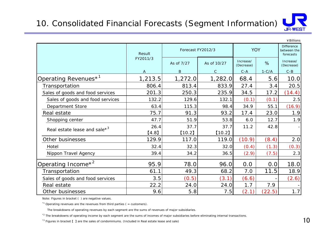

|                                  |                |                   |              |                         |            | ¥ Billions              |  |
|----------------------------------|----------------|-------------------|--------------|-------------------------|------------|-------------------------|--|
|                                  | Result         | Forecast FY2012/3 |              |                         | <b>YOY</b> |                         |  |
|                                  | FY2011/3       | As of 7/27        | As of 10/27  | Increase/<br>(Decrease) | %          | Increase/<br>(Decrease) |  |
|                                  | $\overline{A}$ | $\sf B$           | $\mathsf{C}$ | $C - A$                 | $1-C/A$    | $C - B$                 |  |
| Operating Revenues <sup>*1</sup> | 1,213.5        | 1,272.0           | 1,282.0      | 68.4                    | 5.6        | 10.0                    |  |
| Transportation                   | 806.4          | 813.4             | 833.9        | 27.4                    | 3.4        | 20.5                    |  |
| Sales of goods and food services | 201.3          | 250.3             | 235.9        | 34.5                    | 17.2       | (14.4)                  |  |
| Sales of goods and food services | 132.2          | 129.6             | 132.1        | (0.1)                   | (0.1)      | 2.5                     |  |
| <b>Department Store</b>          | 63.4           | 115.3             | 98.4         | 34.9                    | 55.1       | (16.9)                  |  |
| Real estate                      | 75.7           | 91.3              | 93.2         | 17.4                    | 23.0       | 1.9                     |  |
| Shopping center                  | 47.7           | 51.9              | 53.8         | 6.0                     | 12.7       | 1.9                     |  |
| Real estate lease and sale $*^3$ | 26.4           | 37.7              | 37.7         | 11.2                    | 42.8       |                         |  |
|                                  | [4.8]          | $[10.2]$          | $[10.2]$     |                         |            |                         |  |
| Other businesses                 | 129.9          | 117.0             | 119.0        | (10.9)                  | (8.4)      | 2.0                     |  |
| Hotel                            | 32.4           | 32.3              | 32.0         | (0.4)                   | (1.3)      | (0.3)                   |  |
| Nippon Travel Agency             | 39.4           | 34.2              | 36.5         | (2.9)                   | (7.5)      | 2.3                     |  |
| Operating Income <sup>*2</sup>   | 95.9           | 78.0              | 96.0         | 0.0                     | 0.0        | 18.0                    |  |
| Transportation                   | 61.1           | 49.3              | 68.2         | 7.0                     | 11.5       | 18.9                    |  |
| Sales of goods and food services | 3.5            | (0.5)             | (3.1)        | (6.6)                   |            | (2.6)                   |  |
| Real estate                      | 22.2           | 24.0              | 24.0         | 1.7                     | 7.9        |                         |  |
| Other businesses                 | 9.6            | 5.8               | 7.5          | (2.1)                   | (22.5)     | 1.7                     |  |

 $*1$  Operating revenues are the revenues from third parties ( = customers).

The breakdowns of operating revenues by each segment are the sums of revenues of major subsidiaries.

\*<sup>2</sup> The breakdowns of operating income by each segment are the sums of incomes of major subsidiaries before eliminating internal transactions.

\*<sup>3</sup> Figures in bracket [ ] are the sales of condominiums. (Included in Real estate lease and sale)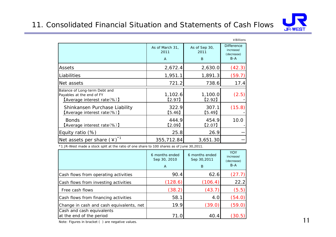### 11. Consolidated Financial Situation and Statements of Cash Flows



|                                                                                           |                              |                            | ¥ Billions                                            |
|-------------------------------------------------------------------------------------------|------------------------------|----------------------------|-------------------------------------------------------|
|                                                                                           | As of March 31,<br>2011<br>A | As of Sep 30,<br>2011<br>B | <b>Difference</b><br>increase/<br>(decrease)<br>$B-A$ |
| Assets                                                                                    | 2,672.4                      | 2,630.0                    | (42.3)                                                |
| Liabilities                                                                               | 1,951.1                      | 1,891.3                    | (59.7)                                                |
| Net assets                                                                                | 721.2                        | 738.6                      | 17.4                                                  |
| Balance of Long-term Debt and<br>Payables at the end of FY<br>(Average interest rate (%)) | 1,102.6<br>[2.97]            | 1,100.0<br>[2.92]          | (2.5)                                                 |
| Shinkansen Purchase Liability<br><b>(Average interest rate (%)</b>                        | 322.9<br>[5.46]              | 307.1<br>[5.49]            | (15.8)                                                |
| <b>Bonds</b><br>(Average interest rate(%))                                                | 444.9<br>[2.09]              | 454.9<br>[2.07]            | 10.0                                                  |
| Equity ratio (%)                                                                          | 25.8                         | 26.9                       |                                                       |
| Net assets per share $(4)^*$ <sup>1</sup>                                                 | 355,712.84                   | 3,651.30                   |                                                       |

\*1 JR-West made a stock split at the ratio of one share to 100 shares as of June 30,2011.

|                                                       | 6 months ended<br>Sep 30, 2010<br>$\overline{A}$ | 6 months ended<br>Sep 30,2011<br>B | <b>YOY</b><br>increase/<br>(decrease)<br>$B-A$ |
|-------------------------------------------------------|--------------------------------------------------|------------------------------------|------------------------------------------------|
| Cash flows from operating activities                  | 90.4                                             | 62.6                               | (27.7)                                         |
| Cash flows from investing activities                  | (128.6)                                          | (106.4)                            | 22.2                                           |
| Free cash flows                                       | (38.2)                                           | (43.7)                             | (5.5)                                          |
| Cash flows from financing activities                  | 58.1                                             | 4.0                                | (54.0)                                         |
| Change in cash and cash equivalents, net              | 19.9                                             | (39.0)                             | (59.0)                                         |
| Cash and cash equivalents<br>at the end of the period | 71.0                                             | 40.4                               | .30.b                                          |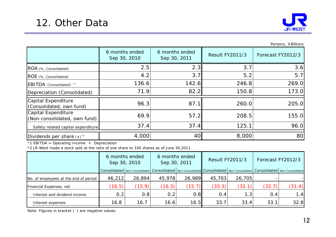

Persons, ¥Billions

|                                                     | 6 months ended<br>Sep 30, 2010 | 6 months ended<br>Sep 30, 2011 | <b>Result FY2011/3</b> | Forecast FY2012/3 |
|-----------------------------------------------------|--------------------------------|--------------------------------|------------------------|-------------------|
| ROA (%, Consolidated)                               | 2.5                            | 2.3                            | 3.7                    | 3.6               |
| ROE (%, Consolidated)                               | 4.2                            | 3.7                            | 5.2                    | 5.7               |
| EBITDA (Consolidated) <sup>*1</sup>                 | 136.6                          | 142.6                          | 246.8                  | 269.0             |
| Depreciation (Consolidated)                         | 71.9                           | 82.2                           | 150.8                  | 173.0             |
| Capital Expenditure<br>(Consolidated, own fund)     | 96.3                           | 87.1                           | 260.0                  | 205.0             |
| Capital Expenditure<br>(Non-consolidated, own fund) | 69.9                           | 57.2                           | 208.5                  | 155.0             |
| Safety related capital expenditure                  | 37.4                           | 37.4                           | 125.1                  | 96.0              |
| Dividends per share $(*)$ <sup>2</sup>              | 4,000                          | 40 <sup>l</sup>                | 8,000                  | 80                |

 $*1$  EBITDA = Operating Income + Depreciation

\*2 JR-West made a stock split at the ratio of one share to 100 shares as of June 30,2011.

|                                       | 6 months ended<br>Sep 30, 2010 |        | 6 months ended<br>Sep 30, 2011 |                                                                                                                                                                                                                                | <b>Result FY2011/3</b> |        | Forecast FY2012/3 |        |
|---------------------------------------|--------------------------------|--------|--------------------------------|--------------------------------------------------------------------------------------------------------------------------------------------------------------------------------------------------------------------------------|------------------------|--------|-------------------|--------|
|                                       |                                |        |                                | Consolidated   Non-Consolidated   Consolidated   Non-Consolidated   Consolidated   Non-Consolidated   Consolidated   Non-Consolidated   Non-Consolidated   Non-Consolidated   Non-Consolidated   Non-Consolidated   Non-Consol |                        |        |                   |        |
| No. of employees at the end of period | 46,212                         | 26,894 | 45,978                         | 26,989                                                                                                                                                                                                                         | 45,703                 | 26,705 |                   |        |
| Financial Expenses, net               | (16.5)                         | (15.9) | (16.3)                         | (15.7)                                                                                                                                                                                                                         | (33.3)                 | (32.1) | (32.7)            | (31.4) |
| Interest and dividend income          | 0.2                            | 0.8    | 0.2                            | 0.8                                                                                                                                                                                                                            | 0.4                    | 1.3    | 0.4               | 1.4    |
| Interest expenses                     | 16.8                           | 16.7   | 16.6                           | 16.5                                                                                                                                                                                                                           | 33.7                   | 33.4   | 33.1              | 32.8   |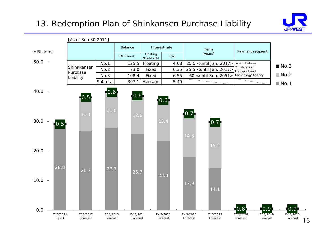### 13. Redemption Plan of Shinkansen Purchase Liability